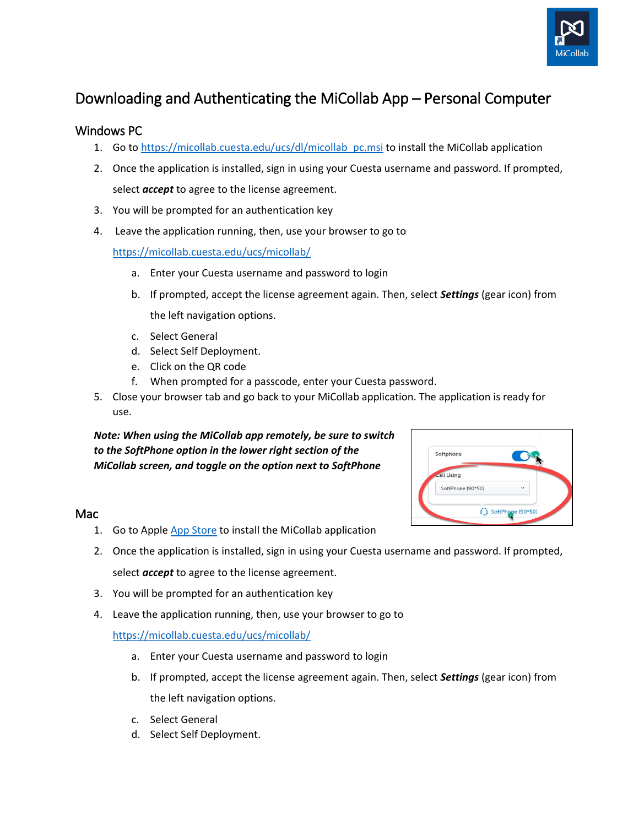

## Downloading and Authenticating the MiCollab App – Personal Computer

## Windows PC

- 1. Go to [https://micollab.cuesta.edu/ucs/dl/micollab\\_pc.msi](https://micollab.cuesta.edu/ucs/dl/micollab_pc.msi) to install the MiCollab application
- 2. Once the application is installed, sign in using your Cuesta username and password. If prompted, select *accept* to agree to the license agreement.
- 3. You will be prompted for an authentication key
- 4. Leave the application running, then, use your browser to go to

<https://micollab.cuesta.edu/ucs/micollab/>

- a. Enter your Cuesta username and password to login
- b. If prompted, accept the license agreement again. Then, select *Settings* (gear icon) from the left navigation options.
- c. Select General
- d. Select Self Deployment.
- e. Click on the QR code
- f. When prompted for a passcode, enter your Cuesta password.
- 5. Close your browser tab and go back to your MiCollab application. The application is ready for use.

*Note: When using the MiCollab app remotely, be sure to switch to the SoftPhone option in the lower right section of the MiCollab screen, and toggle on the option next to SoftPhone*



## Mac

- 1. Go to Appl[e App Store](https://apps.apple.com/us/app/micollab/id1103663781?mt=12&ign-mpt=uo%3D4) to install the MiCollab application
- 2. Once the application is installed, sign in using your Cuesta username and password. If prompted, select *accept* to agree to the license agreement.
- 3. You will be prompted for an authentication key
- 4. Leave the application running, then, use your browser to go to

<https://micollab.cuesta.edu/ucs/micollab/>

- a. Enter your Cuesta username and password to login
- b. If prompted, accept the license agreement again. Then, select *Settings* (gear icon) from the left navigation options.
- c. Select General
- d. Select Self Deployment.